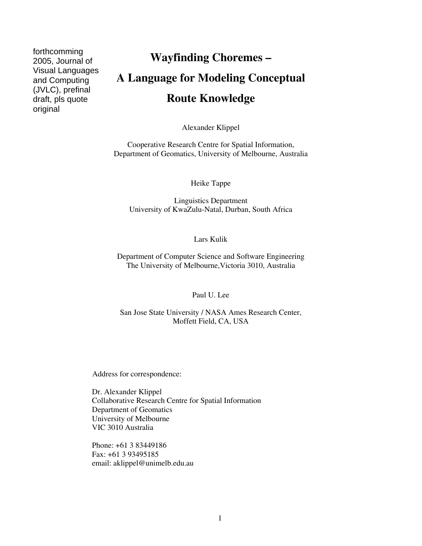forthcomming 2005, Journal of Visual Languages and Computing (JVLC), prefinal draft, pls quote original

# **Wayfinding Choremes – A Language for Modeling Conceptual Route Knowledge**

Alexander Klippel

Cooperative Research Centre for Spatial Information, Department of Geomatics, University of Melbourne, Australia

Heike Tappe

Linguistics Department University of KwaZulu-Natal, Durban, South Africa

Lars Kulik

Department of Computer Science and Software Engineering The University of Melbourne,Victoria 3010, Australia

Paul U. Lee

San Jose State University / NASA Ames Research Center, Moffett Field, CA, USA

Address for correspondence:

Dr. Alexander Klippel Collaborative Research Centre for Spatial Information Department of Geomatics University of Melbourne VIC 3010 Australia

Phone: +61 3 83449186 Fax: +61 3 93495185 email: aklippel@unimelb.edu.au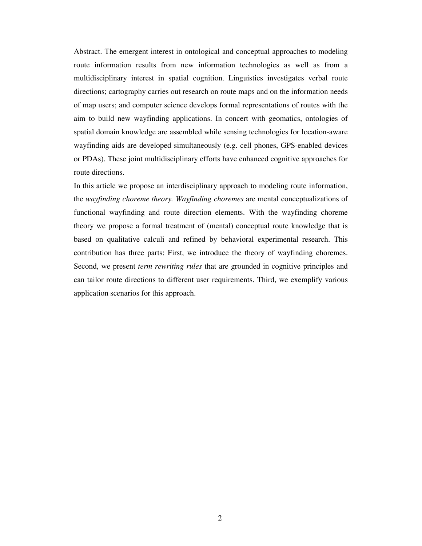Abstract. The emergent interest in ontological and conceptual approaches to modeling route information results from new information technologies as well as from a multidisciplinary interest in spatial cognition. Linguistics investigates verbal route directions; cartography carries out research on route maps and on the information needs of map users; and computer science develops formal representations of routes with the aim to build new wayfinding applications. In concert with geomatics, ontologies of spatial domain knowledge are assembled while sensing technologies for location-aware wayfinding aids are developed simultaneously (e.g. cell phones, GPS-enabled devices or PDAs). These joint multidisciplinary efforts have enhanced cognitive approaches for route directions.

In this article we propose an interdisciplinary approach to modeling route information, the *wayfinding choreme theory. Wayfinding choremes* are mental conceptualizations of functional wayfinding and route direction elements. With the wayfinding choreme theory we propose a formal treatment of (mental) conceptual route knowledge that is based on qualitative calculi and refined by behavioral experimental research. This contribution has three parts: First, we introduce the theory of wayfinding choremes. Second, we present *term rewriting rules* that are grounded in cognitive principles and can tailor route directions to different user requirements. Third, we exemplify various application scenarios for this approach.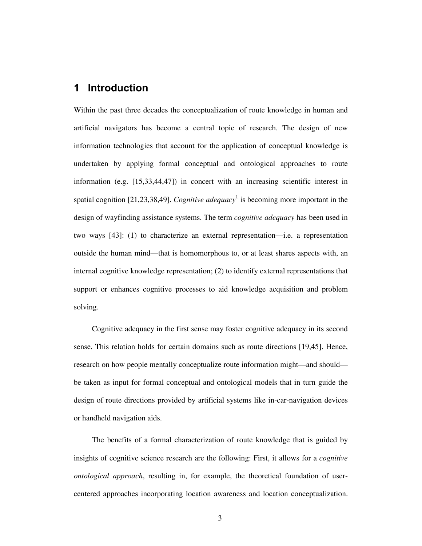## **1 Introduction**

Within the past three decades the conceptualization of route knowledge in human and artificial navigators has become a central topic of research. The design of new information technologies that account for the application of conceptual knowledge is undertaken by applying formal conceptual and ontological approaches to route information (e.g. [15,33,44,47]) in concert with an increasing scientific interest in spatial cognition [21,23,38,49]. *Cognitive adequacy*<sup>1</sup> is becoming more important in the design of wayfinding assistance systems. The term *cognitive adequacy* has been used in two ways [43]: (1) to characterize an external representation—i.e. a representation outside the human mind—that is homomorphous to, or at least shares aspects with, an internal cognitive knowledge representation; (2) to identify external representations that support or enhances cognitive processes to aid knowledge acquisition and problem solving.

Cognitive adequacy in the first sense may foster cognitive adequacy in its second sense. This relation holds for certain domains such as route directions [19,45]. Hence, research on how people mentally conceptualize route information might—and should be taken as input for formal conceptual and ontological models that in turn guide the design of route directions provided by artificial systems like in-car-navigation devices or handheld navigation aids.

The benefits of a formal characterization of route knowledge that is guided by insights of cognitive science research are the following: First, it allows for a *cognitive ontological approach*, resulting in, for example, the theoretical foundation of usercentered approaches incorporating location awareness and location conceptualization.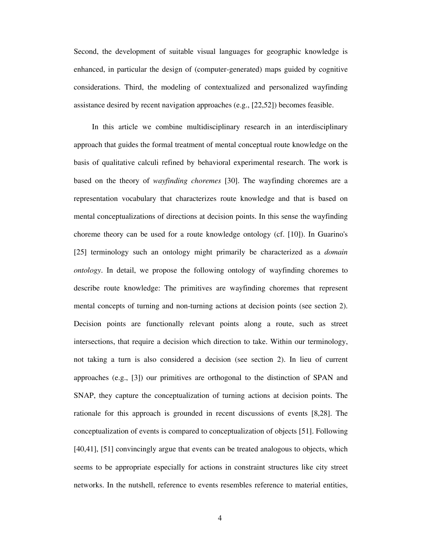Second, the development of suitable visual languages for geographic knowledge is enhanced, in particular the design of (computer-generated) maps guided by cognitive considerations. Third, the modeling of contextualized and personalized wayfinding assistance desired by recent navigation approaches (e.g., [22,52]) becomes feasible.

In this article we combine multidisciplinary research in an interdisciplinary approach that guides the formal treatment of mental conceptual route knowledge on the basis of qualitative calculi refined by behavioral experimental research. The work is based on the theory of *wayfinding choremes* [30]. The wayfinding choremes are a representation vocabulary that characterizes route knowledge and that is based on mental conceptualizations of directions at decision points. In this sense the wayfinding choreme theory can be used for a route knowledge ontology (cf. [10]). In Guarino's [25] terminology such an ontology might primarily be characterized as a *domain ontology*. In detail, we propose the following ontology of wayfinding choremes to describe route knowledge: The primitives are wayfinding choremes that represent mental concepts of turning and non-turning actions at decision points (see section 2). Decision points are functionally relevant points along a route, such as street intersections, that require a decision which direction to take. Within our terminology, not taking a turn is also considered a decision (see section 2). In lieu of current approaches (e.g., [3]) our primitives are orthogonal to the distinction of SPAN and SNAP, they capture the conceptualization of turning actions at decision points. The rationale for this approach is grounded in recent discussions of events [8,28]. The conceptualization of events is compared to conceptualization of objects [51]. Following [40,41], [51] convincingly argue that events can be treated analogous to objects, which seems to be appropriate especially for actions in constraint structures like city street networks. In the nutshell, reference to events resembles reference to material entities,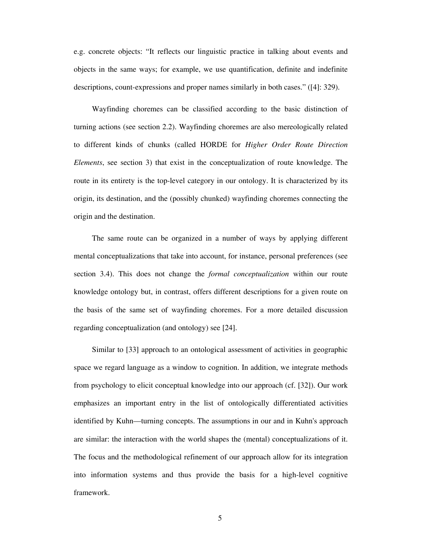e.g. concrete objects: "It reflects our linguistic practice in talking about events and objects in the same ways; for example, we use quantification, definite and indefinite descriptions, count-expressions and proper names similarly in both cases." ([4]: 329).

Wayfinding choremes can be classified according to the basic distinction of turning actions (see section 2.2). Wayfinding choremes are also mereologically related to different kinds of chunks (called HORDE for *Higher Order Route Direction Elements*, see section 3) that exist in the conceptualization of route knowledge. The route in its entirety is the top-level category in our ontology. It is characterized by its origin, its destination, and the (possibly chunked) wayfinding choremes connecting the origin and the destination.

The same route can be organized in a number of ways by applying different mental conceptualizations that take into account, for instance, personal preferences (see section 3.4). This does not change the *formal conceptualization* within our route knowledge ontology but, in contrast, offers different descriptions for a given route on the basis of the same set of wayfinding choremes. For a more detailed discussion regarding conceptualization (and ontology) see [24].

Similar to [33] approach to an ontological assessment of activities in geographic space we regard language as a window to cognition. In addition, we integrate methods from psychology to elicit conceptual knowledge into our approach (cf. [32]). Our work emphasizes an important entry in the list of ontologically differentiated activities identified by Kuhn—turning concepts. The assumptions in our and in Kuhn's approach are similar: the interaction with the world shapes the (mental) conceptualizations of it. The focus and the methodological refinement of our approach allow for its integration into information systems and thus provide the basis for a high-level cognitive framework.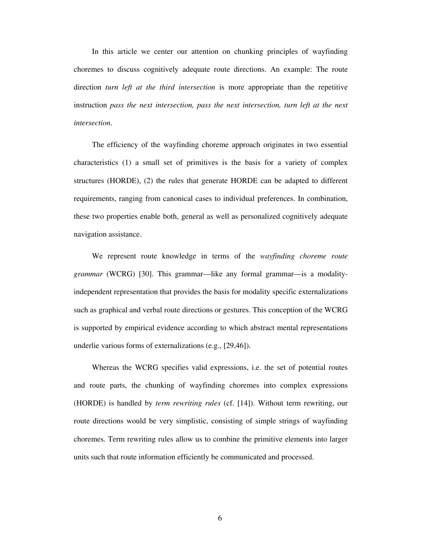In this article we center our attention on chunking principles of wayfinding choremes to discuss cognitively adequate route directions. An example: The route direction *turn left at the third intersection* is more appropriate than the repetitive instruction *pass the next intersection, pass the next intersection, turn left at the next intersection*.

The efficiency of the wayfinding choreme approach originates in two essential characteristics (1) a small set of primitives is the basis for a variety of complex structures (HORDE), (2) the rules that generate HORDE can be adapted to different requirements, ranging from canonical cases to individual preferences. In combination, these two properties enable both, general as well as personalized cognitively adequate navigation assistance.

We represent route knowledge in terms of the *wayfinding choreme route grammar* (WCRG) [30]. This grammar—like any formal grammar—is a modalityindependent representation that provides the basis for modality specific externalizations such as graphical and verbal route directions or gestures. This conception of the WCRG is supported by empirical evidence according to which abstract mental representations underlie various forms of externalizations (e.g., [29,46]).

Whereas the WCRG specifies valid expressions, i.e. the set of potential routes and route parts, the chunking of wayfinding choremes into complex expressions (HORDE) is handled by *term rewriting rules* (cf. [14]). Without term rewriting, our route directions would be very simplistic, consisting of simple strings of wayfinding choremes. Term rewriting rules allow us to combine the primitive elements into larger units such that route information efficiently be communicated and processed.

6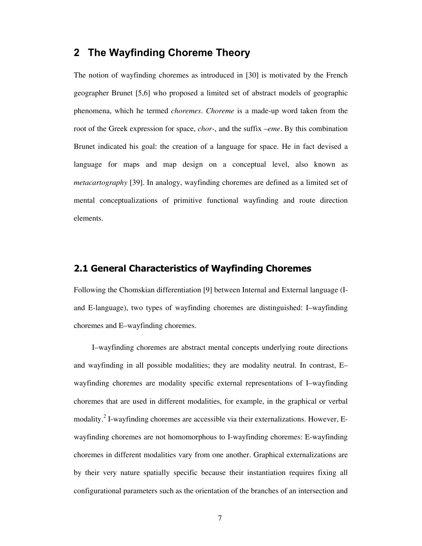## **2 The Wayfinding Choreme Theory**

The notion of wayfinding choremes as introduced in [30] is motivated by the French geographer Brunet [5,6] who proposed a limited set of abstract models of geographic phenomena, which he termed *choremes*. *Choreme* is a made-up word taken from the root of the Greek expression for space, *chor-*, and the suffix –*eme*. By this combination Brunet indicated his goal: the creation of a language for space. He in fact devised a language for maps and map design on a conceptual level, also known as *metacartography* [39]. In analogy, wayfinding choremes are defined as a limited set of mental conceptualizations of primitive functional wayfinding and route direction elements.

#### **2.1 General Characteristics of Wayfinding Choremes**

Following the Chomskian differentiation [9] between Internal and External language (Iand E-language), two types of wayfinding choremes are distinguished: I–wayfinding choremes and E–wayfinding choremes.

I–wayfinding choremes are abstract mental concepts underlying route directions and wayfinding in all possible modalities; they are modality neutral. In contrast, E– wayfinding choremes are modality specific external representations of I–wayfinding choremes that are used in different modalities, for example, in the graphical or verbal modality.<sup>2</sup> I-wayfinding choremes are accessible via their externalizations. However, Ewayfinding choremes are not homomorphous to I-wayfinding choremes: E-wayfinding choremes in different modalities vary from one another. Graphical externalizations are by their very nature spatially specific because their instantiation requires fixing all configurational parameters such as the orientation of the branches of an intersection and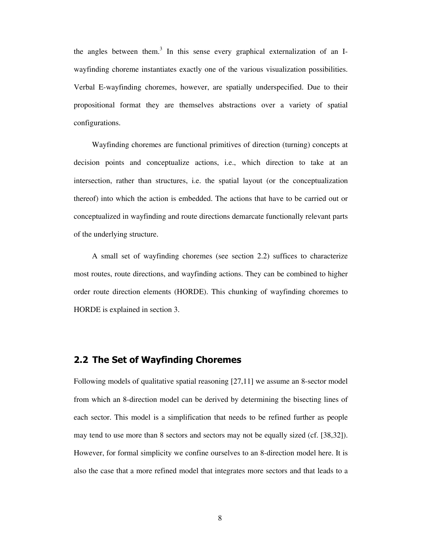the angles between them.<sup>3</sup> In this sense every graphical externalization of an Iwayfinding choreme instantiates exactly one of the various visualization possibilities. Verbal E-wayfinding choremes, however, are spatially underspecified. Due to their propositional format they are themselves abstractions over a variety of spatial configurations.

Wayfinding choremes are functional primitives of direction (turning) concepts at decision points and conceptualize actions, i.e., which direction to take at an intersection, rather than structures, i.e. the spatial layout (or the conceptualization thereof) into which the action is embedded. The actions that have to be carried out or conceptualized in wayfinding and route directions demarcate functionally relevant parts of the underlying structure.

A small set of wayfinding choremes (see section 2.2) suffices to characterize most routes, route directions, and wayfinding actions. They can be combined to higher order route direction elements (HORDE). This chunking of wayfinding choremes to HORDE is explained in section 3.

#### **2.2 The Set of Wayfinding Choremes**

Following models of qualitative spatial reasoning [27,11] we assume an 8-sector model from which an 8-direction model can be derived by determining the bisecting lines of each sector. This model is a simplification that needs to be refined further as people may tend to use more than 8 sectors and sectors may not be equally sized (cf. [38,32]). However, for formal simplicity we confine ourselves to an 8-direction model here. It is also the case that a more refined model that integrates more sectors and that leads to a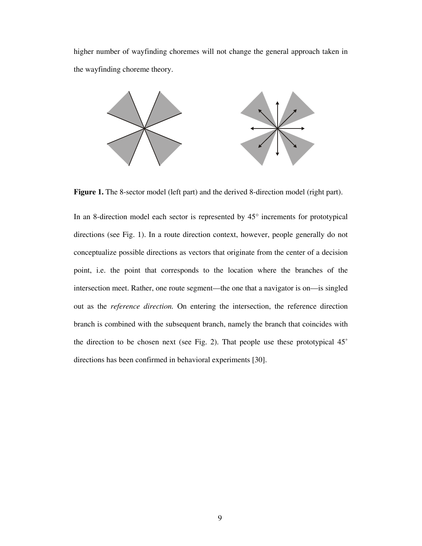higher number of wayfinding choremes will not change the general approach taken in the wayfinding choreme theory.



Figure 1. The 8-sector model (left part) and the derived 8-direction model (right part).

In an 8-direction model each sector is represented by 45° increments for prototypical directions (see Fig. 1). In a route direction context, however, people generally do not conceptualize possible directions as vectors that originate from the center of a decision point, i.e. the point that corresponds to the location where the branches of the intersection meet. Rather, one route segment—the one that a navigator is on—is singled out as the *reference direction.* On entering the intersection, the reference direction branch is combined with the subsequent branch, namely the branch that coincides with the direction to be chosen next (see Fig. 2). That people use these prototypical 45˚ directions has been confirmed in behavioral experiments [30].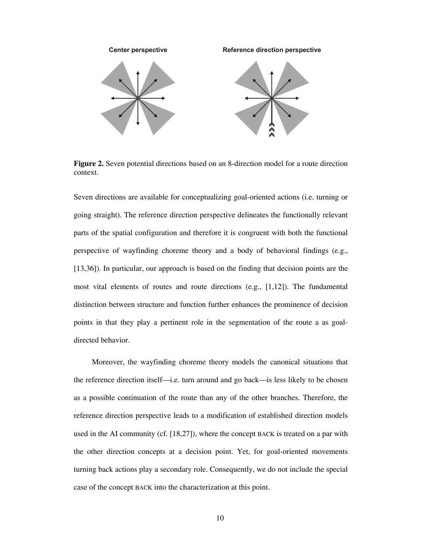

**Figure 2.** Seven potential directions based on an 8-direction model for a route direction context.

Seven directions are available for conceptualizing goal-oriented actions (i.e. turning or going straight). The reference direction perspective delineates the functionally relevant parts of the spatial configuration and therefore it is congruent with both the functional perspective of wayfinding choreme theory and a body of behavioral findings (e.g., [13,36]). In particular, our approach is based on the finding that decision points are the most vital elements of routes and route directions (e.g.,  $[1,12]$ ). The fundamental distinction between structure and function further enhances the prominence of decision points in that they play a pertinent role in the segmentation of the route a as goaldirected behavior.

Moreover, the wayfinding choreme theory models the canonical situations that the reference direction itself—i.e. turn around and go back—is less likely to be chosen as a possible continuation of the route than any of the other branches. Therefore, the reference direction perspective leads to a modification of established direction models used in the AI community (cf. [18,27]), where the concept BACK is treated on a par with the other direction concepts at a decision point. Yet, for goal-oriented movements turning back actions play a secondary role. Consequently, we do not include the special case of the concept BACK into the characterization at this point.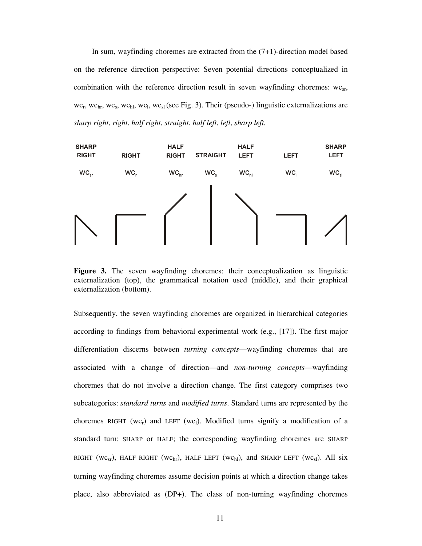In sum, wayfinding choremes are extracted from the  $(7+1)$ -direction model based on the reference direction perspective: Seven potential directions conceptualized in combination with the reference direction result in seven wayfinding choremes:  $wc_{sr}$ ,  $wc_r$ ,  $wc_s$ ,  $wc_s$ ,  $wc_{hl}$ ,  $wc_l$ ,  $wc_s$  (see Fig. 3). Their (pseudo-) linguistic externalizations are *sharp right*, *right*, *half right*, *straight*, *half left*, *left*, *sharp left.*



**Figure 3.** The seven wayfinding choremes: their conceptualization as linguistic externalization (top), the grammatical notation used (middle), and their graphical externalization (bottom).

Subsequently, the seven wayfinding choremes are organized in hierarchical categories according to findings from behavioral experimental work (e.g., [17]). The first major differentiation discerns between *turning concepts*—wayfinding choremes that are associated with a change of direction—and *non-turning concepts*—wayfinding choremes that do not involve a direction change. The first category comprises two subcategories: *standard turns* and *modified turns*. Standard turns are represented by the choremes RIGHT (wc<sub>r</sub>) and LEFT (wc<sub>1</sub>). Modified turns signify a modification of a standard turn: SHARP or HALF; the corresponding wayfinding choremes are SHARP RIGHT (WC<sub>Sr</sub>), HALF RIGHT (WC<sub>hr</sub>), HALF LEFT (WC<sub>hl</sub>), and SHARP LEFT (WC<sub>Sl</sub>). All six turning wayfinding choremes assume decision points at which a direction change takes place, also abbreviated as (DP+). The class of non-turning wayfinding choremes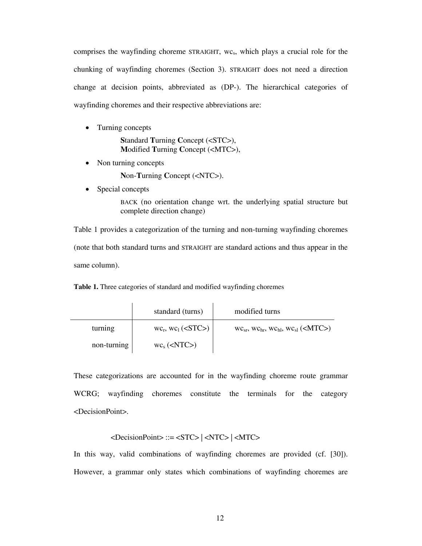comprises the wayfinding choreme STRAIGHT,  $wc_s$ , which plays a crucial role for the chunking of wayfinding choremes (Section 3). STRAIGHT does not need a direction change at decision points, abbreviated as (DP-). The hierarchical categories of wayfinding choremes and their respective abbreviations are:

• Turning concepts

**S**tandard **T**urning **C**oncept (<STC>), **M**odified **T**urning **C**oncept (<MTC>),

• Non turning concepts

**N**on-**T**urning **C**oncept (<NTC>).

• Special concepts

BACK (no orientation change wrt. the underlying spatial structure but complete direction change)

Table 1 provides a categorization of the turning and non-turning wayfinding choremes (note that both standard turns and STRAIGHT are standard actions and thus appear in the same column).

**Table 1.** Three categories of standard and modified wayfinding choremes

|             | standard (turns)               | modified turns                                               |
|-------------|--------------------------------|--------------------------------------------------------------|
| turning     | $wc_r$ , $wc_l$ ( <stc>)</stc> | $WC_{sr}$ , $WC_{hr}$ , $WC_{hl}$ , $WC_{sl}$ ( <mtc>)</mtc> |
| non-turning | $wc_s$ ( <ntc>)</ntc>          |                                                              |

These categorizations are accounted for in the wayfinding choreme route grammar WCRG; wayfinding choremes constitute the terminals for the category <DecisionPoint>.

#### $\leq$ DecisionPoint> ::=  $\leq$ STC>  $| \leq$ NTC>  $| \leq$ MTC>

In this way, valid combinations of wayfinding choremes are provided (cf. [30]). However, a grammar only states which combinations of wayfinding choremes are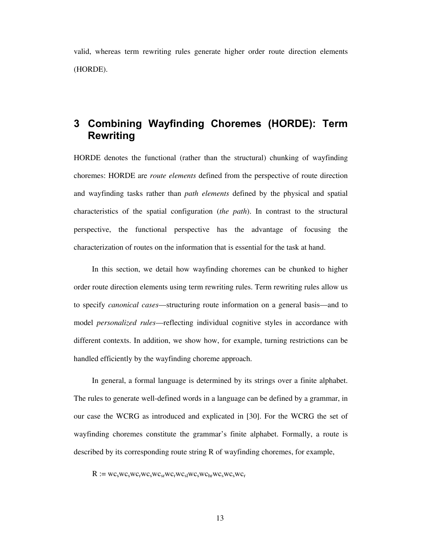valid, whereas term rewriting rules generate higher order route direction elements (HORDE).

## **3 Combining Wayfinding Choremes (HORDE): Term Rewriting**

HORDE denotes the functional (rather than the structural) chunking of wayfinding choremes: HORDE are *route elements* defined from the perspective of route direction and wayfinding tasks rather than *path elements* defined by the physical and spatial characteristics of the spatial configuration (*the path*). In contrast to the structural perspective, the functional perspective has the advantage of focusing the characterization of routes on the information that is essential for the task at hand.

In this section, we detail how wayfinding choremes can be chunked to higher order route direction elements using term rewriting rules. Term rewriting rules allow us to specify *canonical cases*—structuring route information on a general basis—and to model *personalized rules*—reflecting individual cognitive styles in accordance with different contexts. In addition, we show how, for example, turning restrictions can be handled efficiently by the wayfinding choreme approach.

In general, a formal language is determined by its strings over a finite alphabet. The rules to generate well-defined words in a language can be defined by a grammar, in our case the WCRG as introduced and explicated in [30]. For the WCRG the set of wayfinding choremes constitute the grammar's finite alphabet. Formally, a route is described by its corresponding route string R of wayfinding choremes, for example,

 $R := wc_swc_swc_rwc_swc_{sr}wc_rwc_swc_swc_swc_swc_swc_r$ 

13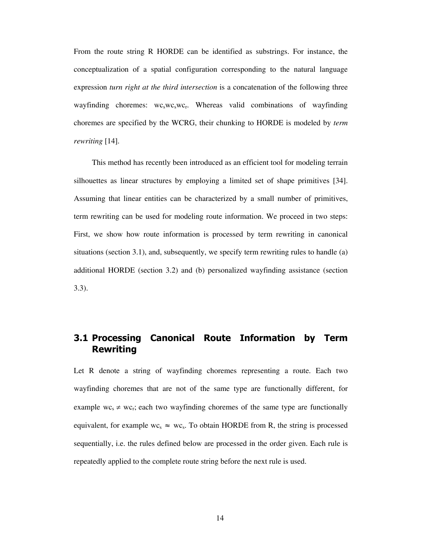From the route string R HORDE can be identified as substrings. For instance, the conceptualization of a spatial configuration corresponding to the natural language expression *turn right at the third intersection* is a concatenation of the following three wayfinding choremes:  $wc$ <sub>s</sub>wc<sub>s</sub>wc<sub>r</sub>. Whereas valid combinations of wayfinding choremes are specified by the WCRG, their chunking to HORDE is modeled by *term rewriting* [14].

This method has recently been introduced as an efficient tool for modeling terrain silhouettes as linear structures by employing a limited set of shape primitives [34]. Assuming that linear entities can be characterized by a small number of primitives, term rewriting can be used for modeling route information. We proceed in two steps: First, we show how route information is processed by term rewriting in canonical situations (section 3.1), and, subsequently, we specify term rewriting rules to handle (a) additional HORDE (section 3.2) and (b) personalized wayfinding assistance (section 3.3).

## **3.1 Processing Canonical Route Information by Term Rewriting**

Let R denote a string of wayfinding choremes representing a route. Each two wayfinding choremes that are not of the same type are functionally different, for example  $wc_s \neq wc_r$ ; each two wayfinding choremes of the same type are functionally equivalent, for example wc<sub>s</sub>  $\approx$  wc<sub>s</sub>. To obtain HORDE from R, the string is processed sequentially, i.e. the rules defined below are processed in the order given. Each rule is repeatedly applied to the complete route string before the next rule is used.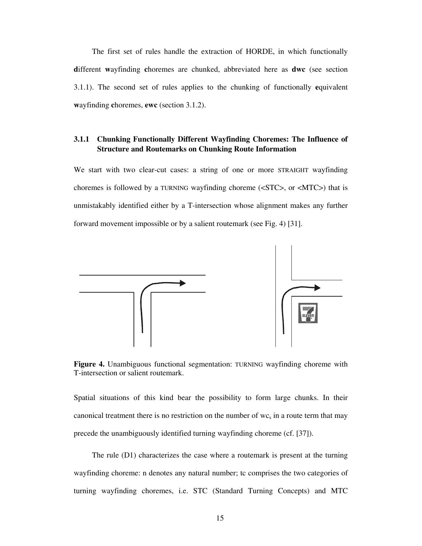The first set of rules handle the extraction of HORDE, in which functionally **d**ifferent **w**ayfinding **c**horemes are chunked, abbreviated here as **dwc** (see section 3.1.1). The second set of rules applies to the chunking of functionally **e**quivalent **w**ayfinding **c**horemes, **ewc** (section 3.1.2).

#### **3.1.1 Chunking Functionally Different Wayfinding Choremes: The Influence of Structure and Routemarks on Chunking Route Information**

We start with two clear-cut cases: a string of one or more STRAIGHT wayfinding choremes is followed by a TURNING wayfinding choreme (<STC>, or <MTC>) that is unmistakably identified either by a T-intersection whose alignment makes any further forward movement impossible or by a salient routemark (see Fig. 4) [31].



Figure 4. Unambiguous functional segmentation: TURNING wayfinding choreme with T-intersection or salient routemark.

Spatial situations of this kind bear the possibility to form large chunks. In their canonical treatment there is no restriction on the number of  $wc_s$  in a route term that may precede the unambiguously identified turning wayfinding choreme (cf. [37]).

The rule (D1) characterizes the case where a routemark is present at the turning wayfinding choreme: n denotes any natural number; tc comprises the two categories of turning wayfinding choremes, i.e. STC (Standard Turning Concepts) and MTC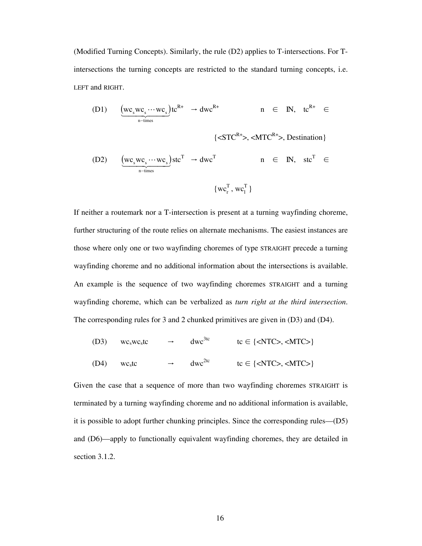(Modified Turning Concepts). Similarly, the rule (D2) applies to T-intersections. For Tintersections the turning concepts are restricted to the standard turning concepts, i.e. LEFT and RIGHT.

$$
\text{(D1)} \quad \underbrace{\left(wc_{s}wc_{s}\cdots wc_{s}\right)}_{n-\text{times}}tc^{R+} \rightarrow dwc^{R+} \quad n \in \text{IN}, \quad tc^{R+} \in
$$

$$
\{\langle \mathcal{S} \mathcal{T} \mathcal{C}^{\mathsf{R+}} \rangle, \langle \mathcal{M} \mathcal{T} \mathcal{C}^{\mathsf{R+}} \rangle, \mathcal{D} \mathcal{E} \mathcal{S} \mathcal{A} \mathcal{A} \mathcal{B} \mathcal{B} \mathcal{B} \mathcal{B} \mathcal{B} \mathcal{B} \mathcal{B} \mathcal{B} \mathcal{B} \mathcal{B} \mathcal{B} \mathcal{B} \mathcal{B} \mathcal{B} \mathcal{B} \mathcal{B} \mathcal{B} \mathcal{B} \mathcal{B} \mathcal{B} \mathcal{B} \mathcal{B} \mathcal{B} \mathcal{B} \mathcal{B} \mathcal{B} \mathcal{B} \mathcal{B} \mathcal{B} \mathcal{B} \mathcal{B} \mathcal{B} \mathcal{B} \mathcal{B} \mathcal{B} \mathcal{B} \mathcal{B} \mathcal{B} \mathcal{B} \mathcal{B} \mathcal{B} \mathcal{B} \mathcal{B} \mathcal{B} \mathcal{B} \mathcal{B} \mathcal{B} \mathcal{B} \mathcal{B} \mathcal{B} \mathcal{B} \mathcal{B} \mathcal{B} \mathcal{B} \mathcal{B} \mathcal{B} \mathcal{B} \mathcal{B} \mathcal{B} \mathcal{B} \mathcal{B} \mathcal{B} \mathcal{B} \mathcal{B} \mathcal{B} \mathcal{B} \mathcal{B} \mathcal{B} \mathcal{B} \mathcal{B} \mathcal{B} \mathcal{B} \mathcal{B} \mathcal{B} \mathcal{B} \mathcal{B} \mathcal{B} \mathcal{B} \mathcal{B} \mathcal{B} \mathcal{B} \mathcal{B} \mathcal{B} \mathcal{B} \mathcal{B} \mathcal{B} \mathcal{B} \mathcal{B} \mathcal{B} \mathcal{B} \mathcal{B} \mathcal{B} \mathcal{B} \mathcal{B} \mathcal{B} \mathcal{B} \mathcal{B} \mathcal{B} \mathcal{B} \mathcal{B} \mathcal{B} \mathcal{B} \mathcal{B} \mathcal{B} \mathcal{B} \mathcal{B} \mathcal{B} \mathcal{B} \mathcal{B} \mathcal{B} \mathcal{B} \mathcal
$$

(D2) 
$$
\underbrace{(wc_swc_s\cdots wc_s)}_{n-times}stc^T \rightarrow dwc^T \qquad n \in IN, stc^T \in
$$

$$
\{wc^T_r, wc^T_l\}
$$

If neither a routemark nor a T-intersection is present at a turning wayfinding choreme, further structuring of the route relies on alternate mechanisms. The easiest instances are those where only one or two wayfinding choremes of type STRAIGHT precede a turning wayfinding choreme and no additional information about the intersections is available. An example is the sequence of two wayfinding choremes STRAIGHT and a turning wayfinding choreme, which can be verbalized as *turn right at the third intersection*. The corresponding rules for 3 and 2 chunked primitives are given in (D3) and (D4).

(D3) 
$$
wc_swc_stc \rightarrow dwc^{3tc}
$$
  $tc \in \{\langle NTC \rangle, \langle MTC \rangle\}$   
(D4)  $wc_stc \rightarrow dwc^{2tc}$   $tc \in \{\langle NTC \rangle, \langle MTC \rangle\}$ 

Given the case that a sequence of more than two wayfinding choremes STRAIGHT is terminated by a turning wayfinding choreme and no additional information is available, it is possible to adopt further chunking principles. Since the corresponding rules—(D5) and (D6)—apply to functionally equivalent wayfinding choremes, they are detailed in section 3.1.2.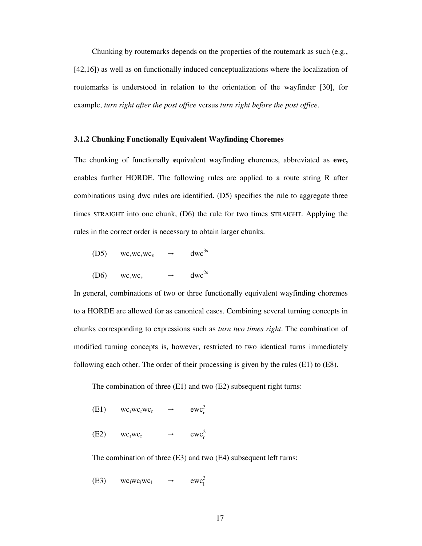Chunking by routemarks depends on the properties of the routemark as such (e.g., [42,16]) as well as on functionally induced conceptualizations where the localization of routemarks is understood in relation to the orientation of the wayfinder [30], for example, *turn right after the post office* versus *turn right before the post office*.

#### **3.1.2 Chunking Functionally Equivalent Wayfinding Choremes**

The chunking of functionally **e**quivalent **w**ayfinding **c**horemes, abbreviated as **ewc,**  enables further HORDE. The following rules are applied to a route string R after combinations using dwc rules are identified. (D5) specifies the rule to aggregate three times STRAIGHT into one chunk, (D6) the rule for two times STRAIGHT. Applying the rules in the correct order is necessary to obtain larger chunks.

| (D5) | $WC_sWC_sWC_s$                  | $\rightarrow$ | dwc <sup>3s</sup> |
|------|---------------------------------|---------------|-------------------|
| (D6) | WC <sub>s</sub> WC <sub>s</sub> | →             | dwc <sup>2s</sup> |

In general, combinations of two or three functionally equivalent wayfinding choremes to a HORDE are allowed for as canonical cases. Combining several turning concepts in chunks corresponding to expressions such as *turn two times right*. The combination of modified turning concepts is, however, restricted to two identical turns immediately following each other. The order of their processing is given by the rules (E1) to (E8).

The combination of three (E1) and two (E2) subsequent right turns:

| (E1) | $WCrWCrWCr$                     | $\longrightarrow$ | $ewc_r^{\prime}$ |
|------|---------------------------------|-------------------|------------------|
| (E2) | WC <sub>r</sub> WC <sub>r</sub> |                   | $ewc^2$          |

The combination of three (E3) and two (E4) subsequent left turns:

(E3)  $wc_1wc_1wc_1$  →  $ewc_1^3$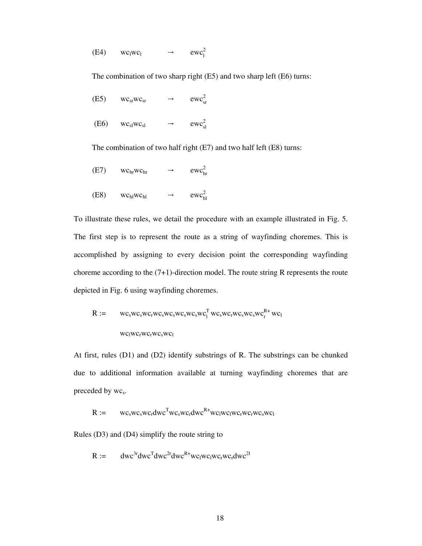(E4)  $wc_1wc_1$   $\rightarrow$   $ewc_1^2$ 

The combination of two sharp right (E5) and two sharp left (E6) turns:

| (E5) | $WC_{ST}WC_{ST}$ | $\rightarrow$ | ewc <sub>sr</sub> <sup>2</sup> |
|------|------------------|---------------|--------------------------------|
| (E6) | $WC_{sl}WC_{sl}$ | $\rightarrow$ | $ewc_{sl}^2$                   |

The combination of two half right (E7) and two half left (E8) turns:

- (E7)  $wc_{hr}wc_{hr} \rightarrow ewc_{hr}^2$
- (E8)  $wc_{hl}wc_{hl} \rightarrow ewc_{hl}^2$

To illustrate these rules, we detail the procedure with an example illustrated in Fig. 5. The first step is to represent the route as a string of wayfinding choremes. This is accomplished by assigning to every decision point the corresponding wayfinding choreme according to the (7+1)-direction model. The route string R represents the route depicted in Fig. 6 using wayfinding choremes.

$$
R := \n\begin{array}{lll}\nwc_swc_swc_swc_swc_swc_swc_swc_l^Twc_swc_rwc_swc_swc_r^R*wc_l\\
wc_lwc_rwc_rwc_swc_l\n\end{array}
$$

At first, rules (D1) and (D2) identify substrings of R. The substrings can be chunked due to additional information available at turning wayfinding choremes that are preceded by wc<sub>s</sub>.

$$
R := \qquad wc_swc_swc_r dwc^Twc_swc_r dwc^{R+}wc_lwc_lwc_rwc_rwc_cwc_swc_l
$$

Rules (D3) and (D4) simplify the route string to

 $R := \text{dwc}^{3r} \text{dwc}^{T} \text{dwc}^{2r} \text{dwc}^{R+} \text{wc}_1 \text{wc}_1 \text{wc}_r \text{wc}_r \text{dwc}^{2l}$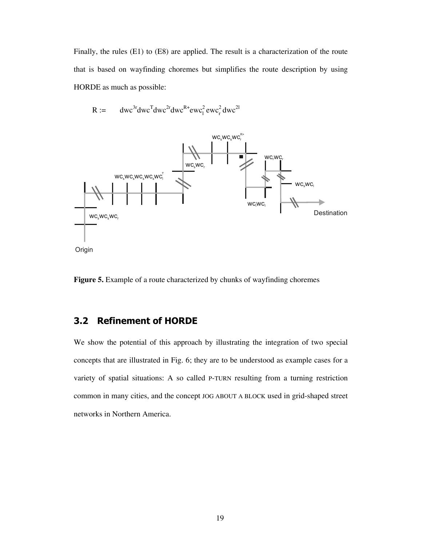Finally, the rules (E1) to (E8) are applied. The result is a characterization of the route that is based on wayfinding choremes but simplifies the route description by using HORDE as much as possible:

$$
R := \quad dwc^{3r} dwc^{T} dwc^{2r} dwc^{R+} ewc_{1}^{2} ewc_{r}^{2} dwc^{2l}
$$



**Figure 5.** Example of a route characterized by chunks of wayfinding choremes

### **3.2 Refinement of HORDE**

We show the potential of this approach by illustrating the integration of two special concepts that are illustrated in Fig. 6; they are to be understood as example cases for a variety of spatial situations: A so called P-TURN resulting from a turning restriction common in many cities, and the concept JOG ABOUT A BLOCK used in grid-shaped street networks in Northern America.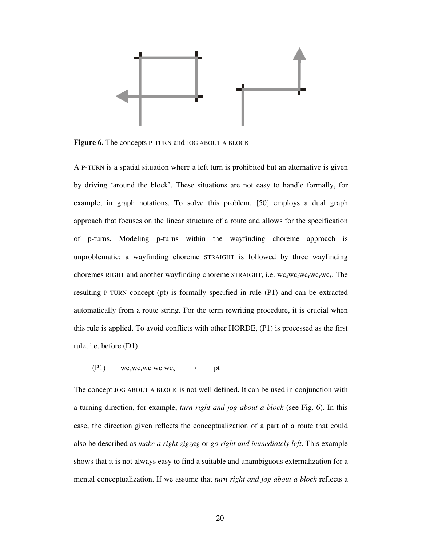

**Figure 6.** The concepts P-TURN and JOG ABOUT A BLOCK

A P-TURN is a spatial situation where a left turn is prohibited but an alternative is given by driving 'around the block'. These situations are not easy to handle formally, for example, in graph notations. To solve this problem, [50] employs a dual graph approach that focuses on the linear structure of a route and allows for the specification of p-turns. Modeling p-turns within the wayfinding choreme approach is unproblematic: a wayfinding choreme STRAIGHT is followed by three wayfinding choremes RIGHT and another wayfinding choreme STRAIGHT, i.e.  $wc$ <sub>s</sub>wc<sub>r</sub>wc<sub>r</sub>wc<sub>r</sub>wc<sub>s</sub>. The resulting P-TURN concept (pt) is formally specified in rule (P1) and can be extracted automatically from a route string. For the term rewriting procedure, it is crucial when this rule is applied. To avoid conflicts with other HORDE, (P1) is processed as the first rule, i.e. before (D1).

 $(P1)$  wc<sub>s</sub>wc<sub>r</sub>wc<sub>r</sub>wc<sub>r</sub>wc<sub>s</sub>  $\rightarrow$  pt

The concept JOG ABOUT A BLOCK is not well defined. It can be used in conjunction with a turning direction, for example, *turn right and jog about a block* (see Fig. 6). In this case, the direction given reflects the conceptualization of a part of a route that could also be described as *make a right zigzag* or *go right and immediately left*. This example shows that it is not always easy to find a suitable and unambiguous externalization for a mental conceptualization. If we assume that *turn right and jog about a block* reflects a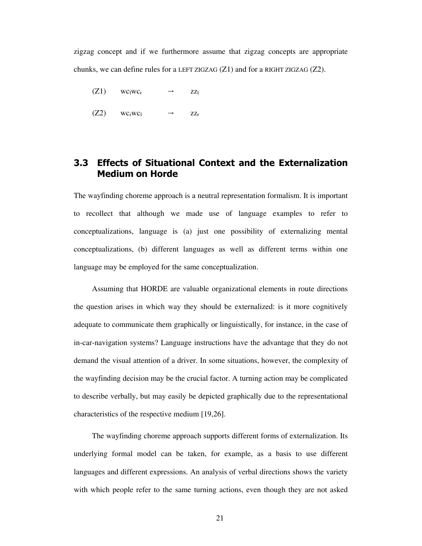zigzag concept and if we furthermore assume that zigzag concepts are appropriate chunks, we can define rules for a LEFT ZIGZAG  $(Z1)$  and for a RIGHT ZIGZAG  $(Z2)$ .

- $(Z1)$  wc<sub>l</sub>wc<sub>r</sub>  $\rightarrow$  zz<sub>l</sub>
- $(Z2)$  wc<sub>r</sub>wc<sub>l</sub>  $\rightarrow$  zz<sub>r</sub>

## **3.3 Effects of Situational Context and the Externalization Medium on Horde**

The wayfinding choreme approach is a neutral representation formalism. It is important to recollect that although we made use of language examples to refer to conceptualizations, language is (a) just one possibility of externalizing mental conceptualizations, (b) different languages as well as different terms within one language may be employed for the same conceptualization.

Assuming that HORDE are valuable organizational elements in route directions the question arises in which way they should be externalized: is it more cognitively adequate to communicate them graphically or linguistically, for instance, in the case of in-car-navigation systems? Language instructions have the advantage that they do not demand the visual attention of a driver. In some situations, however, the complexity of the wayfinding decision may be the crucial factor. A turning action may be complicated to describe verbally, but may easily be depicted graphically due to the representational characteristics of the respective medium [19,26].

The wayfinding choreme approach supports different forms of externalization. Its underlying formal model can be taken, for example, as a basis to use different languages and different expressions. An analysis of verbal directions shows the variety with which people refer to the same turning actions, even though they are not asked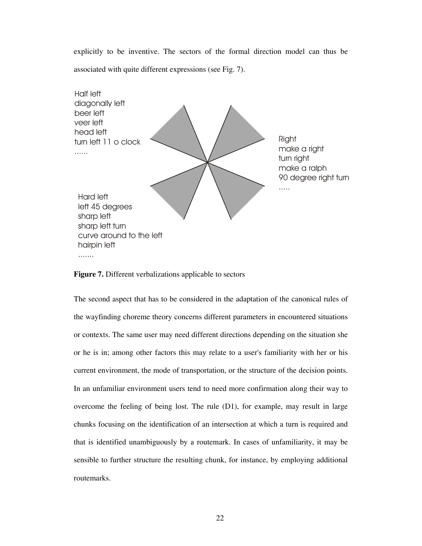explicitly to be inventive. The sectors of the formal direction model can thus be associated with quite different expressions (see Fig. 7).



**Figure 7.** Different verbalizations applicable to sectors

The second aspect that has to be considered in the adaptation of the canonical rules of the wayfinding choreme theory concerns different parameters in encountered situations or contexts. The same user may need different directions depending on the situation she or he is in; among other factors this may relate to a user's familiarity with her or his current environment, the mode of transportation, or the structure of the decision points. In an unfamiliar environment users tend to need more confirmation along their way to overcome the feeling of being lost. The rule (D1), for example, may result in large chunks focusing on the identification of an intersection at which a turn is required and that is identified unambiguously by a routemark. In cases of unfamiliarity, it may be sensible to further structure the resulting chunk, for instance, by employing additional routemarks.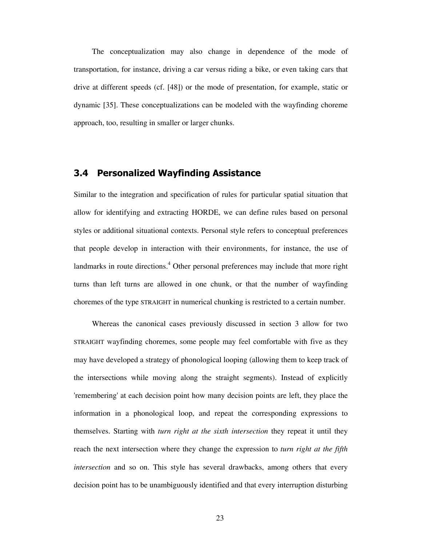The conceptualization may also change in dependence of the mode of transportation, for instance, driving a car versus riding a bike, or even taking cars that drive at different speeds (cf. [48]) or the mode of presentation, for example, static or dynamic [35]. These conceptualizations can be modeled with the wayfinding choreme approach, too, resulting in smaller or larger chunks.

## **3.4 Personalized Wayfinding Assistance**

Similar to the integration and specification of rules for particular spatial situation that allow for identifying and extracting HORDE, we can define rules based on personal styles or additional situational contexts. Personal style refers to conceptual preferences that people develop in interaction with their environments, for instance, the use of landmarks in route directions.<sup>4</sup> Other personal preferences may include that more right turns than left turns are allowed in one chunk, or that the number of wayfinding choremes of the type STRAIGHT in numerical chunking is restricted to a certain number.

Whereas the canonical cases previously discussed in section 3 allow for two STRAIGHT wayfinding choremes, some people may feel comfortable with five as they may have developed a strategy of phonological looping (allowing them to keep track of the intersections while moving along the straight segments). Instead of explicitly 'remembering' at each decision point how many decision points are left, they place the information in a phonological loop, and repeat the corresponding expressions to themselves. Starting with *turn right at the sixth intersection* they repeat it until they reach the next intersection where they change the expression to *turn right at the fifth intersection* and so on. This style has several drawbacks, among others that every decision point has to be unambiguously identified and that every interruption disturbing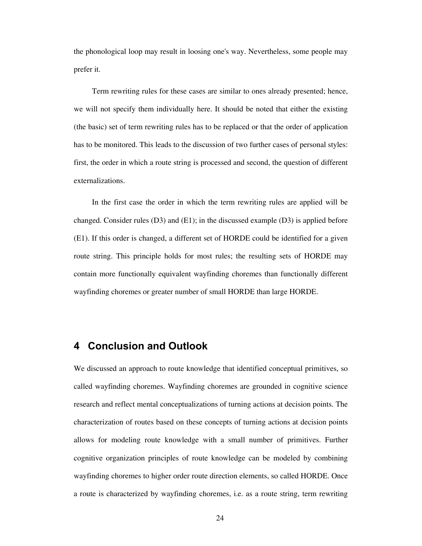the phonological loop may result in loosing one's way. Nevertheless, some people may prefer it.

Term rewriting rules for these cases are similar to ones already presented; hence, we will not specify them individually here. It should be noted that either the existing (the basic) set of term rewriting rules has to be replaced or that the order of application has to be monitored. This leads to the discussion of two further cases of personal styles: first, the order in which a route string is processed and second, the question of different externalizations.

In the first case the order in which the term rewriting rules are applied will be changed. Consider rules ( $D3$ ) and ( $E1$ ); in the discussed example ( $D3$ ) is applied before (E1). If this order is changed, a different set of HORDE could be identified for a given route string. This principle holds for most rules; the resulting sets of HORDE may contain more functionally equivalent wayfinding choremes than functionally different wayfinding choremes or greater number of small HORDE than large HORDE.

## **4 Conclusion and Outlook**

We discussed an approach to route knowledge that identified conceptual primitives, so called wayfinding choremes. Wayfinding choremes are grounded in cognitive science research and reflect mental conceptualizations of turning actions at decision points. The characterization of routes based on these concepts of turning actions at decision points allows for modeling route knowledge with a small number of primitives. Further cognitive organization principles of route knowledge can be modeled by combining wayfinding choremes to higher order route direction elements, so called HORDE. Once a route is characterized by wayfinding choremes, i.e. as a route string, term rewriting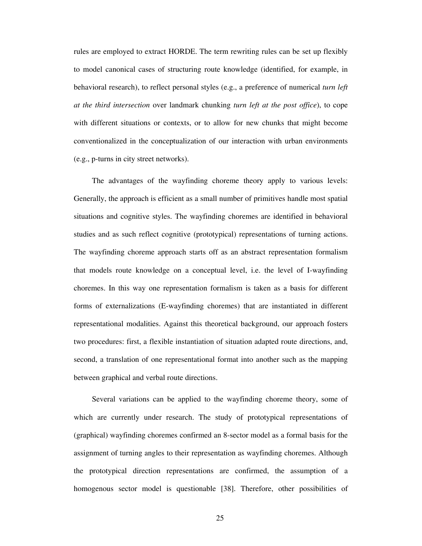rules are employed to extract HORDE. The term rewriting rules can be set up flexibly to model canonical cases of structuring route knowledge (identified, for example, in behavioral research), to reflect personal styles (e.g., a preference of numerical *turn left at the third intersection* over landmark chunking *turn left at the post office*), to cope with different situations or contexts, or to allow for new chunks that might become conventionalized in the conceptualization of our interaction with urban environments (e.g., p-turns in city street networks).

The advantages of the wayfinding choreme theory apply to various levels: Generally, the approach is efficient as a small number of primitives handle most spatial situations and cognitive styles. The wayfinding choremes are identified in behavioral studies and as such reflect cognitive (prototypical) representations of turning actions. The wayfinding choreme approach starts off as an abstract representation formalism that models route knowledge on a conceptual level, i.e. the level of I-wayfinding choremes. In this way one representation formalism is taken as a basis for different forms of externalizations (E-wayfinding choremes) that are instantiated in different representational modalities. Against this theoretical background, our approach fosters two procedures: first, a flexible instantiation of situation adapted route directions, and, second, a translation of one representational format into another such as the mapping between graphical and verbal route directions.

Several variations can be applied to the wayfinding choreme theory, some of which are currently under research. The study of prototypical representations of (graphical) wayfinding choremes confirmed an 8-sector model as a formal basis for the assignment of turning angles to their representation as wayfinding choremes. Although the prototypical direction representations are confirmed, the assumption of a homogenous sector model is questionable [38]. Therefore, other possibilities of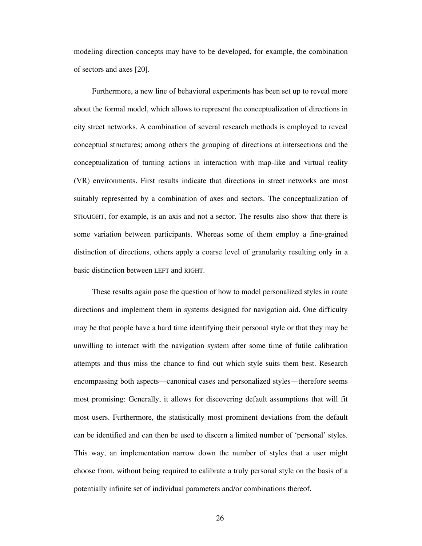modeling direction concepts may have to be developed, for example, the combination of sectors and axes [20].

Furthermore, a new line of behavioral experiments has been set up to reveal more about the formal model, which allows to represent the conceptualization of directions in city street networks. A combination of several research methods is employed to reveal conceptual structures; among others the grouping of directions at intersections and the conceptualization of turning actions in interaction with map-like and virtual reality (VR) environments. First results indicate that directions in street networks are most suitably represented by a combination of axes and sectors. The conceptualization of STRAIGHT, for example, is an axis and not a sector. The results also show that there is some variation between participants. Whereas some of them employ a fine-grained distinction of directions, others apply a coarse level of granularity resulting only in a basic distinction between LEFT and RIGHT.

These results again pose the question of how to model personalized styles in route directions and implement them in systems designed for navigation aid. One difficulty may be that people have a hard time identifying their personal style or that they may be unwilling to interact with the navigation system after some time of futile calibration attempts and thus miss the chance to find out which style suits them best. Research encompassing both aspects—canonical cases and personalized styles—therefore seems most promising: Generally, it allows for discovering default assumptions that will fit most users. Furthermore, the statistically most prominent deviations from the default can be identified and can then be used to discern a limited number of 'personal' styles. This way, an implementation narrow down the number of styles that a user might choose from, without being required to calibrate a truly personal style on the basis of a potentially infinite set of individual parameters and/or combinations thereof.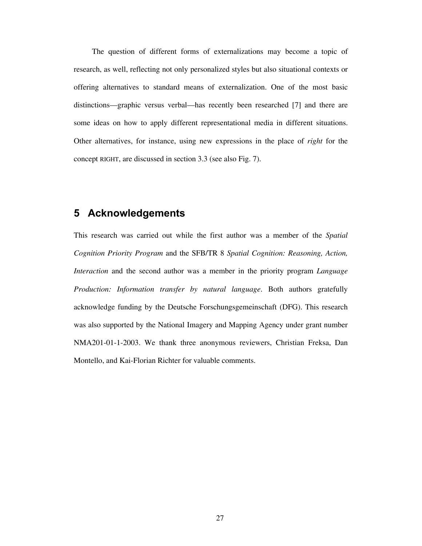The question of different forms of externalizations may become a topic of research, as well, reflecting not only personalized styles but also situational contexts or offering alternatives to standard means of externalization. One of the most basic distinctions—graphic versus verbal—has recently been researched [7] and there are some ideas on how to apply different representational media in different situations. Other alternatives, for instance, using new expressions in the place of *right* for the concept RIGHT, are discussed in section 3.3 (see also Fig. 7).

## **5 Acknowledgements**

This research was carried out while the first author was a member of the *Spatial Cognition Priority Program* and the SFB/TR 8 *Spatial Cognition: Reasoning, Action, Interaction* and the second author was a member in the priority program *Language Production: Information transfer by natural language*. Both authors gratefully acknowledge funding by the Deutsche Forschungsgemeinschaft (DFG). This research was also supported by the National Imagery and Mapping Agency under grant number NMA201-01-1-2003. We thank three anonymous reviewers, Christian Freksa, Dan Montello, and Kai-Florian Richter for valuable comments.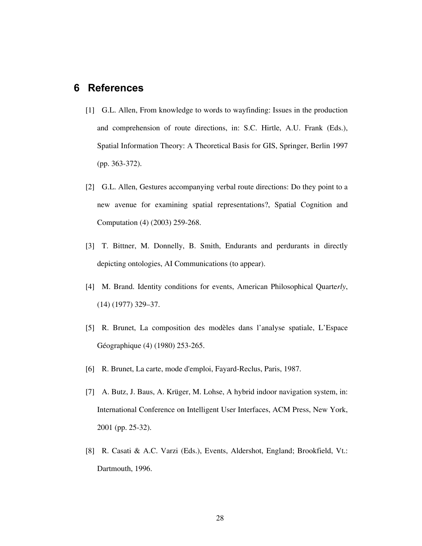## **6 References**

- [1] G.L. Allen, From knowledge to words to wayfinding: Issues in the production and comprehension of route directions, in: S.C. Hirtle, A.U. Frank (Eds.), Spatial Information Theory: A Theoretical Basis for GIS, Springer, Berlin 1997 (pp. 363-372).
- [2] G.L. Allen, Gestures accompanying verbal route directions: Do they point to a new avenue for examining spatial representations?, Spatial Cognition and Computation (4) (2003) 259-268.
- [3] T. Bittner, M. Donnelly, B. Smith, Endurants and perdurants in directly depicting ontologies, AI Communications (to appear).
- [4] M. Brand. Identity conditions for events, American Philosophical Quarte*rly*, (14) (1977) 329–37.
- [5] R. Brunet, La composition des modèles dans l'analyse spatiale, L'Espace Géographique (4) (1980) 253-265.
- [6] R. Brunet, La carte, mode d'emploi, Fayard-Reclus, Paris, 1987.
- [7] A. Butz, J. Baus, A. Krüger, M. Lohse, A hybrid indoor navigation system, in: International Conference on Intelligent User Interfaces, ACM Press, New York, 2001 (pp. 25-32).
- [8] R. Casati & A.C. Varzi (Eds.), Events, Aldershot, England; Brookfield, Vt.: Dartmouth, 1996.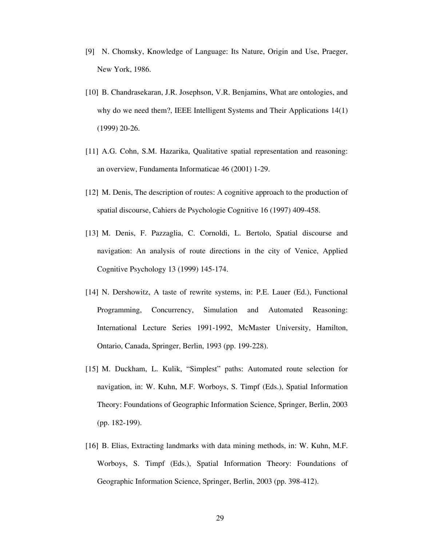- [9] N. Chomsky, Knowledge of Language: Its Nature, Origin and Use, Praeger, New York, 1986.
- [10] B. Chandrasekaran, J.R. Josephson, V.R. Benjamins, What are ontologies, and why do we need them?, IEEE Intelligent Systems and Their Applications 14(1) (1999) 20-26.
- [11] A.G. Cohn, S.M. Hazarika, Qualitative spatial representation and reasoning: an overview, Fundamenta Informaticae 46 (2001) 1-29.
- [12] M. Denis, The description of routes: A cognitive approach to the production of spatial discourse, Cahiers de Psychologie Cognitive 16 (1997) 409-458.
- [13] M. Denis, F. Pazzaglia, C. Cornoldi, L. Bertolo, Spatial discourse and navigation: An analysis of route directions in the city of Venice, Applied Cognitive Psychology 13 (1999) 145-174.
- [14] N. Dershowitz, A taste of rewrite systems, in: P.E. Lauer (Ed.), Functional Programming, Concurrency, Simulation and Automated Reasoning: International Lecture Series 1991-1992, McMaster University, Hamilton, Ontario, Canada, Springer, Berlin, 1993 (pp. 199-228).
- [15] M. Duckham, L. Kulik, "Simplest" paths: Automated route selection for navigation, in: W. Kuhn, M.F. Worboys, S. Timpf (Eds.), Spatial Information Theory: Foundations of Geographic Information Science, Springer, Berlin, 2003 (pp. 182-199).
- [16] B. Elias, Extracting landmarks with data mining methods, in: W. Kuhn, M.F. Worboys, S. Timpf (Eds.), Spatial Information Theory: Foundations of Geographic Information Science, Springer, Berlin, 2003 (pp. 398-412).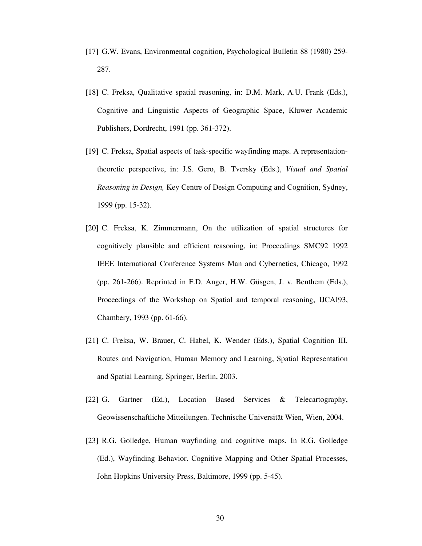- [17] G.W. Evans, Environmental cognition, Psychological Bulletin 88 (1980) 259- 287.
- [18] C. Freksa, Qualitative spatial reasoning, in: D.M. Mark, A.U. Frank (Eds.), Cognitive and Linguistic Aspects of Geographic Space, Kluwer Academic Publishers, Dordrecht, 1991 (pp. 361-372).
- [19] C. Freksa, Spatial aspects of task-specific wayfinding maps. A representationtheoretic perspective, in: J.S. Gero, B. Tversky (Eds.), *Visual and Spatial Reasoning in Design,* Key Centre of Design Computing and Cognition, Sydney, 1999 (pp. 15-32).
- [20] C. Freksa, K. Zimmermann, On the utilization of spatial structures for cognitively plausible and efficient reasoning, in: Proceedings SMC92 1992 IEEE International Conference Systems Man and Cybernetics, Chicago, 1992 (pp. 261-266). Reprinted in F.D. Anger, H.W. Güsgen, J. v. Benthem (Eds.), Proceedings of the Workshop on Spatial and temporal reasoning, IJCAI93, Chambery, 1993 (pp. 61-66).
- [21] C. Freksa, W. Brauer, C. Habel, K. Wender (Eds.), Spatial Cognition III. Routes and Navigation, Human Memory and Learning, Spatial Representation and Spatial Learning, Springer, Berlin, 2003.
- [22] G. Gartner (Ed.), Location Based Services & Telecartography, Geowissenschaftliche Mitteilungen. Technische Universität Wien, Wien, 2004.
- [23] R.G. Golledge, Human wayfinding and cognitive maps. In R.G. Golledge (Ed.), Wayfinding Behavior. Cognitive Mapping and Other Spatial Processes, John Hopkins University Press, Baltimore, 1999 (pp. 5-45).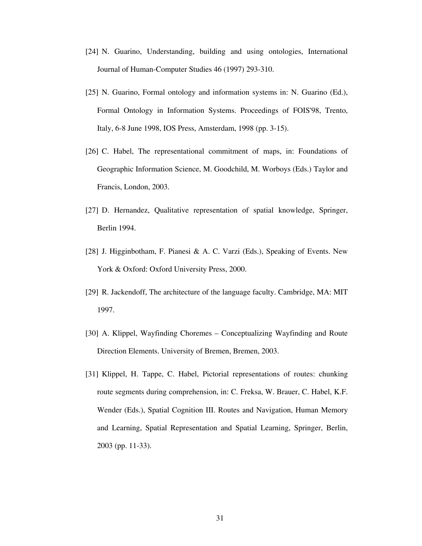- [24] N. Guarino, Understanding, building and using ontologies, International Journal of Human-Computer Studies 46 (1997) 293-310.
- [25] N. Guarino, Formal ontology and information systems in: N. Guarino (Ed.), Formal Ontology in Information Systems. Proceedings of FOIS'98, Trento, Italy, 6-8 June 1998, IOS Press, Amsterdam, 1998 (pp. 3-15).
- [26] C. Habel, The representational commitment of maps, in: Foundations of Geographic Information Science, M. Goodchild, M. Worboys (Eds.) Taylor and Francis, London, 2003.
- [27] D. Hernandez, Qualitative representation of spatial knowledge, Springer, Berlin 1994.
- [28] J. Higginbotham, F. Pianesi & A. C. Varzi (Eds.), Speaking of Events. New York & Oxford: Oxford University Press, 2000.
- [29] R. Jackendoff, The architecture of the language faculty. Cambridge, MA: MIT 1997.
- [30] A. Klippel, Wayfinding Choremes Conceptualizing Wayfinding and Route Direction Elements. University of Bremen, Bremen, 2003.
- [31] Klippel, H. Tappe, C. Habel, Pictorial representations of routes: chunking route segments during comprehension, in: C. Freksa, W. Brauer, C. Habel, K.F. Wender (Eds.), Spatial Cognition III. Routes and Navigation, Human Memory and Learning, Spatial Representation and Spatial Learning, Springer, Berlin, 2003 (pp. 11-33).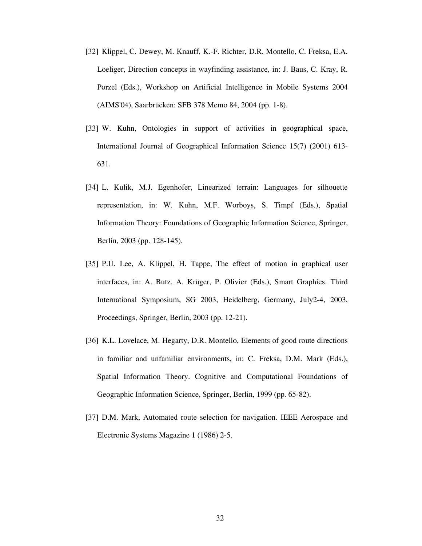- [32] Klippel, C. Dewey, M. Knauff, K.-F. Richter, D.R. Montello, C. Freksa, E.A. Loeliger, Direction concepts in wayfinding assistance, in: J. Baus, C. Kray, R. Porzel (Eds.), Workshop on Artificial Intelligence in Mobile Systems 2004 (AIMS'04), Saarbrücken: SFB 378 Memo 84, 2004 (pp. 1-8).
- [33] W. Kuhn, Ontologies in support of activities in geographical space, International Journal of Geographical Information Science 15(7) (2001) 613- 631.
- [34] L. Kulik, M.J. Egenhofer, Linearized terrain: Languages for silhouette representation, in: W. Kuhn, M.F. Worboys, S. Timpf (Eds.), Spatial Information Theory: Foundations of Geographic Information Science, Springer, Berlin, 2003 (pp. 128-145).
- [35] P.U. Lee, A. Klippel, H. Tappe, The effect of motion in graphical user interfaces, in: A. Butz, A. Krüger, P. Olivier (Eds.), Smart Graphics. Third International Symposium, SG 2003, Heidelberg, Germany, July2-4, 2003, Proceedings, Springer, Berlin, 2003 (pp. 12-21).
- [36] K.L. Lovelace, M. Hegarty, D.R. Montello, Elements of good route directions in familiar and unfamiliar environments, in: C. Freksa, D.M. Mark (Eds.), Spatial Information Theory. Cognitive and Computational Foundations of Geographic Information Science, Springer, Berlin, 1999 (pp. 65-82).
- [37] D.M. Mark, Automated route selection for navigation. IEEE Aerospace and Electronic Systems Magazine 1 (1986) 2-5.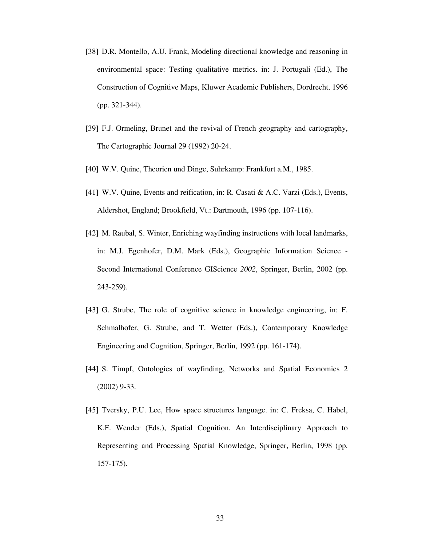- [38] D.R. Montello, A.U. Frank, Modeling directional knowledge and reasoning in environmental space: Testing qualitative metrics. in: J. Portugali (Ed.), The Construction of Cognitive Maps, Kluwer Academic Publishers, Dordrecht, 1996 (pp. 321-344).
- [39] F.J. Ormeling, Brunet and the revival of French geography and cartography, The Cartographic Journal 29 (1992) 20-24.
- [40] W.V. Quine, Theorien und Dinge, Suhrkamp: Frankfurt a.M., 1985.
- [41] W.V. Quine, Events and reification, in: R. Casati & A.C. Varzi (Eds.), Events, Aldershot, England; Brookfield, Vt.: Dartmouth, 1996 (pp. 107-116).
- [42] M. Raubal, S. Winter, Enriching wayfinding instructions with local landmarks, in: M.J. Egenhofer, D.M. Mark (Eds.), Geographic Information Science - Second International Conference GIScience *2002*, Springer, Berlin, 2002 (pp. 243-259).
- [43] G. Strube, The role of cognitive science in knowledge engineering, in: F. Schmalhofer, G. Strube, and T. Wetter (Eds.), Contemporary Knowledge Engineering and Cognition, Springer, Berlin, 1992 (pp. 161-174).
- [44] S. Timpf, Ontologies of wayfinding, Networks and Spatial Economics 2 (2002) 9-33.
- [45] Tversky, P.U. Lee, How space structures language. in: C. Freksa, C. Habel, K.F. Wender (Eds.), Spatial Cognition. An Interdisciplinary Approach to Representing and Processing Spatial Knowledge, Springer, Berlin, 1998 (pp. 157-175).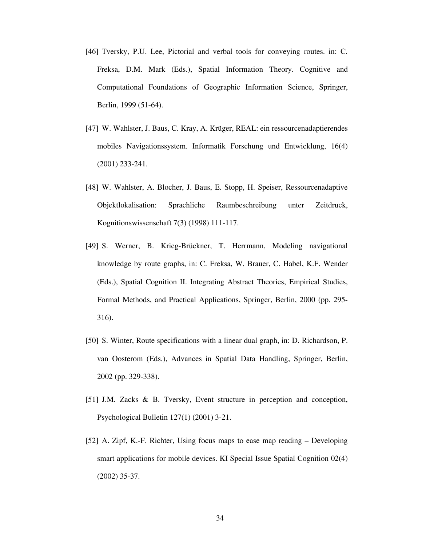- [46] Tversky, P.U. Lee, Pictorial and verbal tools for conveying routes. in: C. Freksa, D.M. Mark (Eds.), Spatial Information Theory. Cognitive and Computational Foundations of Geographic Information Science, Springer, Berlin, 1999 (51-64).
- [47] W. Wahlster, J. Baus, C. Kray, A. Krüger, REAL: ein ressourcenadaptierendes mobiles Navigationssystem. Informatik Forschung und Entwicklung, 16(4) (2001) 233-241.
- [48] W. Wahlster, A. Blocher, J. Baus, E. Stopp, H. Speiser, Ressourcenadaptive Objektlokalisation: Sprachliche Raumbeschreibung unter Zeitdruck, Kognitionswissenschaft 7(3) (1998) 111-117.
- [49] S. Werner, B. Krieg-Brückner, T. Herrmann, Modeling navigational knowledge by route graphs, in: C. Freksa, W. Brauer, C. Habel, K.F. Wender (Eds.), Spatial Cognition II. Integrating Abstract Theories, Empirical Studies, Formal Methods, and Practical Applications, Springer, Berlin, 2000 (pp. 295- 316).
- [50] S. Winter, Route specifications with a linear dual graph, in: D. Richardson, P. van Oosterom (Eds.), Advances in Spatial Data Handling, Springer, Berlin, 2002 (pp. 329-338).
- [51] J.M. Zacks & B. Tversky, Event structure in perception and conception, Psychological Bulletin 127(1) (2001) 3-21.
- [52] A. Zipf, K.-F. Richter, Using focus maps to ease map reading Developing smart applications for mobile devices. KI Special Issue Spatial Cognition 02(4) (2002) 35-37.